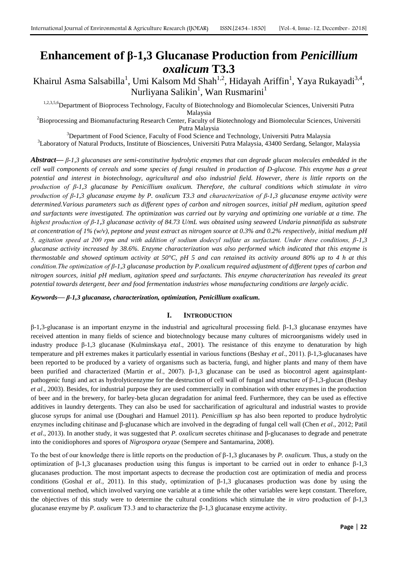# **Enhancement of β-1,3 Glucanase Production from** *Penicillium oxalicum* **T3.3**

## Khairul Asma Salsabilla<sup>1</sup>, Umi Kalsom Md Shah<sup>1,2</sup>, Hidayah Ariffin<sup>1</sup>, Yaya Rukayadi<sup>3,4</sup>, Nurliyana Salikin<sup>1</sup>, Wan Rusmarini<sup>1</sup>

1,2,3,5,6 Department of Bioprocess Technology, Faculty of Biotechnology and Biomolecular Sciences, Universiti Putra

Malaysia

<sup>2</sup>Bioprocessing and Biomanufacturing Research Center, Faculty of Biotechnology and Biomolecular Sciences, Universiti Putra Malaysia

<sup>3</sup>Department of Food Science, Faculty of Food Science and Technology, Universiti Putra Malaysia

<sup>3</sup>Laboratory of Natural Products, Institute of Biosciences, Universiti Putra Malaysia, 43400 Serdang, Selangor, Malaysia

*Abstract***—** *β-1,3 glucanases are semi-constitutive hydrolytic enzymes that can degrade glucan molecules embedded in the cell wall components of cereals and some species of fungi resulted in production of D-glucose. This enzyme has a great potential and interest in biotechnology, agricultural and also industrial field. However, there is little reports on the production of β-1,3 glucanase by Penicillium oxalicum. Therefore, the cultural conditions which stimulate in vitro production of β-1,3 glucanase enzyme by P. oxalicum T3.3 and characterization of β-1,3 glucanase enzyme activity were determined.Various parameters such as different types of carbon and nitrogen sources, initial pH medium, agitation speed and surfactants were investigated. The optimization was carried out by varying and optimizing one variable at a time. The highest production of β-1,3 glucanase activity of 84.73 U/mL was obtained using seaweed Undaria pinnatifida as substrate at concentration of 1% (w/v), peptone and yeast extract as nitrogen source at 0.3% and 0.2% respectively, initial medium pH 5, agitation speed at 200 rpm and with addition of sodium dodecyl sulfate as surfactant. Under these conditions, β-1,3 glucanase activity increased by 38.6%. Enzyme characterization was also performed which indicated that this enzyme is thermostable and showed optimum activity at 50°C, pH 5 and can retained its activity around 80% up to 4 h at this condition.The optimization of β-1,3 glucanase production by P.oxalicum required adjustment of different types of carbon and nitrogen sources, initial pH medium, agitation speed and surfactants. This enzyme characterization has revealed its great potential towards detergent, beer and food fermentation industries whose manufacturing conditions are largely acidic.*

*Keywords***—** *β-1,3 glucanase, characterization, optimization, Penicillium oxalicum.*

## **I. INTRODUCTION**

β-1,3-glucanase is an important enzyme in the industrial and agricultural processing field. β-1,3 glucanase enzymes have received attention in many fields of science and biotechnology because many cultures of microorganisms widely used in industry produce β-1,3 glucanase (Kulminskaya *etal*., 2001). The resistance of this enzyme to denaturation by high temperature and pH extremes makes it particularly essential in various functions (Beshay *et al*., 2011). β-1,3-glucanases have been reported to be produced by a variety of organisms such as bacteria, fungi, and higher plants and many of them have been purified and characterized (Martin *et al*., 2007). β-1,3 glucanase can be used as biocontrol agent againstplantpathogenic fungi and act as hydrolyticenzyme for the destruction of cell wall of fungal and structure of β-1,3-glucan (Beshay *et al*., 2003). Besides, for industrial purpose they are used commercially in combination with other enzymes in the production of beer and in the brewery, for barley-beta glucan degradation for animal feed. Furthermore, they can be used as effective additives in laundry detergents. They can also be used for saccharification of agricultural and industrial wastes to provide glucose syrups for animal use (Doughari and Hamuel 2011). *Penicillium sp* has also been reported to produce hydrolytic enzymes including chitinase and β-glucanase which are involved in the degrading of fungal cell wall (Chen *et al*., 2012; Patil *et al*., 2013). In another study, it was suggested that *P. oxalicum* secretes chitinase and β-glucanases to degrade and penetrate into the conidiophores and spores of *Nigrospora oryzae* (Sempere and Santamarina, 2008).

To the best of our knowledge there is little reports on the production of β-1,3 glucanases by *P. oxalicum.* Thus, a study on the optimization of β-1,3 glucanases production using this fungus is important to be carried out in order to enhance β-1,3 glucanases production. The most important aspects to decrease the production cost are optimization of media and process conditions (Goshal *et al.,* 2011). In this study, optimization of β-1,3 glucanases production was done by using the conventional method, which involved varying one variable at a time while the other variables were kept constant. Therefore, the objectives of this study were to determine the cultural conditions which stimulate the *in vitro* production of β-1,3 glucanase enzyme by *P. oxalicum* T3.3 and to characterize the β-1,3 glucanase enzyme activity.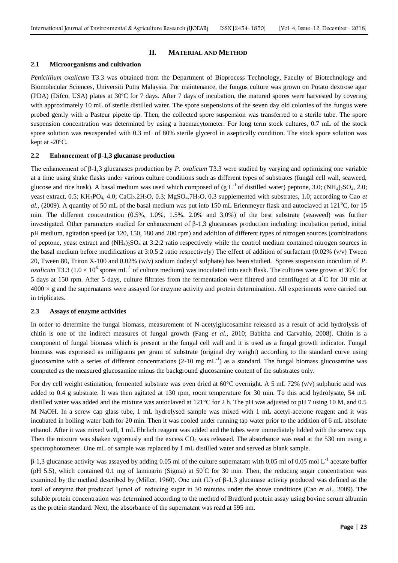## **II. MATERIAL AND METHOD**

## **2.1 Microorganisms and cultivation**

*Penicillium oxalicum* T3.3 was obtained from the Department of Bioprocess Technology, Faculty of Biotechnology and Biomolecular Sciences, Universiti Putra Malaysia. For maintenance, the fungus culture was grown on Potato dextrose agar (PDA) (Difco, USA) plates at 30ºC for 7 days. After 7 days of incubation, the matured spores were harvested by covering with approximately 10 mL of sterile distilled water. The spore suspensions of the seven day old colonies of the fungus were probed gently with a Pasteur pipette tip. Then, the collected spore suspension was transferred to a sterile tube. The spore suspension concentration was determined by using a haemacytometer. For long term stock cultures, 0.7 mL of the stock spore solution was resuspended with 0.3 mL of 80% sterile glycerol in aseptically condition. The stock spore solution was kept at -20ºC.

## **2.2 Enhancement of β-1,3 glucanase production**

The enhancement of β-1,3 glucanases production by *P. oxalicum* T3.3 were studied by varying and optimizing one variable at a time using shake flasks under various culture conditions such as different types of substrates (fungal cell wall, seaweed, glucose and rice husk). A basal medium was used which composed of (g  $L^{-1}$  of distilled water) peptone, 3.0; (NH<sub>4</sub>)<sub>2</sub>SO<sub>4</sub>, 2.0; yeast extract, 0.5; KH<sub>2</sub>PO<sub>4</sub>, 4.0; CaCl<sub>2</sub>.2H<sub>2</sub>O, 0.3; MgSO<sub>4</sub>.7H<sub>2</sub>O, 0.3 supplemented with substrates, 1.0; according to Cao *et al.*, (2009). A quantity of 50 mL of the basal medium was put into 150 mL Erlenmeyer flask and autoclaved at  $121^{\circ}$ C, for 15 min. The different concentration (0.5%, 1.0%, 1.5%, 2.0% and 3.0%) of the best substrate (seaweed) was further investigated. Other parameters studied for enhancement of β-1,3 glucanases production including: incubation period, initial pH medium, agitation speed (at 120, 150, 180 and 200 rpm) and addition of different types of nitrogen sources (combinations of peptone, yeast extract and  $(NH_4)_2SO_4$  at 3:2:2 ratio respectively while the control medium contained nitrogen sources in the basal medium before modifications at 3:0.5:2 ratio respectively) The effect of addition of surfactant  $(0.02\%$  (v/v) Tween 20, Tween 80, Triton X-100 and 0.02% (w/v) sodium dodecyl sulphate) has been studied. Spores suspension inoculum of *P. oxalicum* T3.3 (1.0  $\times$  10<sup>6</sup> spores mL<sup>-1</sup> of culture medium) was inoculated into each flask. The cultures were grown at 30°C for 5 days at 150 rpm. After 5 days, culture filtrates from the fermentation were filtered and centrifuged at  $4^{\circ}$ C for 10 min at  $4000 \times g$  and the supernatants were assayed for enzyme activity and protein determination. All experiments were carried out in triplicates.

## **2.3 Assays of enzyme activities**

In order to determine the fungal biomass, measurement of N-acetylglucosamine released as a result of acid hydrolysis of chitin is one of the indirect measures of fungal growth (Fang *et al.*, 2010; Babitha and Carvahlo, 2008). Chitin is a component of fungal biomass which is present in the fungal cell wall and it is used as a fungal growth indicator. Fungal biomass was expressed as milligrams per gram of substrate (original dry weight) according to the standard curve using glucosamine with a series of different concentrations  $(2\t{-}10 \text{ mg mL}^{-1})$  as a standard. The fungal biomass glucosamine was computed as the measured glucosamine minus the background glucosamine content of the substrates only.

For dry cell weight estimation, fermented substrate was oven dried at 60°C overnight. A 5 mL 72% (v/v) sulphuric acid was added to 0.4 g substrate. It was then agitated at 130 rpm, room temperature for 30 min. To this acid hydrolysate, 54 mL distilled water was added and the mixture was autoclaved at 121°C for 2 h. The pH was adjusted to pH 7 using 10 M, and 0.5 M NaOH. In a screw cap glass tube, 1 mL hydrolysed sample was mixed with 1 mL acetyl-acetone reagent and it was incubated in boiling water bath for 20 min. Then it was cooled under running tap water prior to the addition of 6 mL absolute ethanol. After it was mixed well, 1 mL Ehrlich reagent was added and the tubes were immediately lidded with the screw cap. Then the mixture was shaken vigorously and the excess  $CO<sub>2</sub>$  was released. The absorbance was read at the 530 nm using a spectrophotometer. One mL of sample was replaced by 1 mL distilled water and served as blank sample.

β-1,3 glucanase activity was assayed by adding 0.05 ml of the culture supernatant with 0.05 ml of 0.05 mol L<sup>-1</sup> acetate buffer (pH 5.5), which contained 0.1 mg of laminarin (Sigma) at  $50^{\circ}$ C for 30 min. Then, the reducing sugar concentration was examined by the method described by (Miller, 1960). One unit (U) of β-1,3 glucanase activity produced was defined as the total of enzyme that produced 1μmol of reducing sugar in 30 minutes under the above conditions (Cao *et al*., 2009). The soluble protein concentration was determined according to the method of Bradford protein assay using bovine serum albumin as the protein standard. Next, the absorbance of the supernatant was read at 595 nm.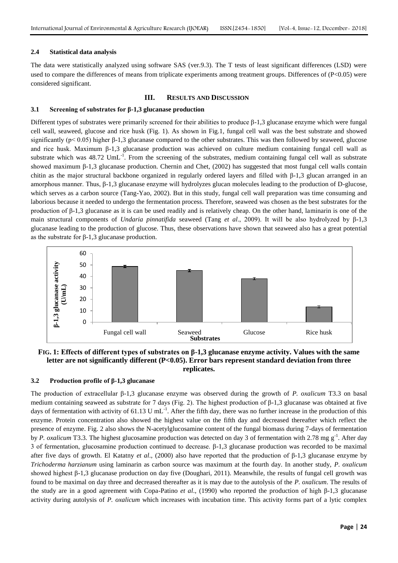## **2.4 Statistical data analysis**

The data were statistically analyzed using software SAS (ver.9.3). The T tests of least significant differences (LSD) were used to compare the differences of means from triplicate experiments among treatment groups. Differences of (P<0.05) were considered significant.

#### **III. RESULTS AND DISCUSSION**

## **3.1 Screening of substrates for β-1,3 glucanase production**

Different types of substrates were primarily screened for their abilities to produce β-1,3 glucanase enzyme which were fungal cell wall, seaweed, glucose and rice husk (Fig. 1). As shown in Fig.1, fungal cell wall was the best substrate and showed significantly ( $p$ < 0.05) higher  $\beta$ -1,3 glucanase compared to the other substrates. This was then followed by seaweed, glucose and rice husk. Maximum β-1,3 glucanase production was achieved on culture medium containing fungal cell wall as substrate which was  $48.72 \text{ UmL}^{-1}$ . From the screening of the substrates, medium containing fungal cell wall as substrate showed maximum β-1,3 glucanase production. Chernin and Chet, (2002) has suggested that most fungal cell walls contain chitin as the major structural backbone organized in regularly ordered layers and filled with β-1,3 glucan arranged in an amorphous manner. Thus, β-1,3 glucanase enzyme will hydrolyzes glucan molecules leading to the production of D-glucose, which serves as a carbon source (Tang-Yao*,* 2002). But in this study, fungal cell wall preparation was time consuming and laborious because it needed to undergo the fermentation process. Therefore, seaweed was chosen as the best substrates for the production of β-1,3 glucanase as it is can be used readily and is relatively cheap. On the other hand, laminarin is one of the main structural components of *Undaria pinnatifida* seaweed (Tang *et al*., 2009). It will be also hydrolyzed by β-1,3 glucanase leading to the production of glucose. Thus, these observations have shown that seaweed also has a great potential as the substrate for β-1,3 glucanase production.



## **FIG. 1: Effects of different types of substrates on β-1,3 glucanase enzyme activity. Values with the same letter are not significantly different (P<0.05). Error bars represent standard deviation from three replicates.**

## **3.2 Production profile of β-1,3 glucanase**

The production of extracellular β-1,3 glucanase enzyme was observed during the growth of *P. oxalicum* T3.3 on basal medium containing seaweed as substrate for 7 days (Fig. 2). The highest production of  $\beta$ -1,3 glucanase was obtained at five days of fermentation with activity of 61.13 U mL<sup>-1</sup>. After the fifth day, there was no further increase in the production of this enzyme. Protein concentration also showed the highest value on the fifth day and decreased thereafter which reflect the presence of enzyme. Fig. 2 also shows the N-acetylglucosamine content of the fungal biomass during 7-days of fermentation by *P. oxalicum* T3.3. The highest glucosamine production was detected on day 3 of fermentation with 2.78 mg g<sup>-1</sup>. After day 3 of fermentation, glucosamine production continued to decrease. β-1,3 glucanase production was recorded to be maximal after five days of growth. El Katatny *et al*., (2000) also have reported that the production of β-1,3 glucanase enzyme by *Trichoderma harzianum* using laminarin as carbon source was maximum at the fourth day. In another study, *P. oxalicum* showed highest β-1,3 glucanase production on day five (Doughari, 2011). Meanwhile, the results of fungal cell growth was found to be maximal on day three and decreased thereafter as it is may due to the autolysis of the *P. oxalicum*. The results of the study are in a good agreement with Copa-Patino *et al*., (1990) who reported the production of high β-1,3 glucanase activity during autolysis of *P. oxalicum* which increases with incubation time. This activity forms part of a lytic complex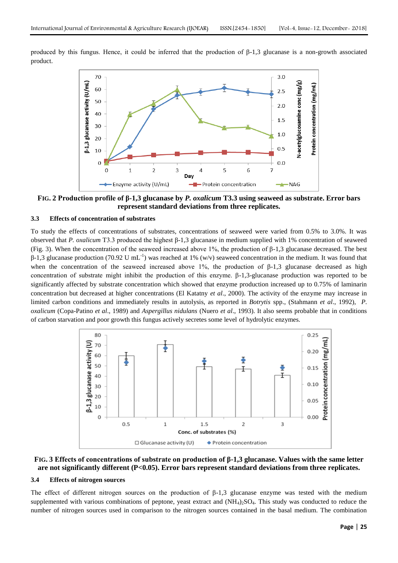produced by this fungus. Hence, it could be inferred that the production of β-1,3 glucanase is a non-growth associated product.



**FIG. 2 Production profile of β-1,3 glucanase by** *P. oxalicum* **T3.3 using seaweed as substrate. Error bars represent standard deviations from three replicates.**

## **3.3 Effects of concentration of substrates**

To study the effects of concentrations of substrates, concentrations of seaweed were varied from 0.5% to 3.0%. It was observed that *P. oxalicum* T3.3 produced the highest β-1,3 glucanase in medium supplied with 1% concentration of seaweed (Fig. 3). When the concentration of the seaweed increased above 1%, the production of β-1,3 glucanase decreased. The best  $\beta$ -1,3 glucanase production (70.92 U mL<sup>-1</sup>) was reached at 1% (w/v) seaweed concentration in the medium. It was found that when the concentration of the seaweed increased above 1%, the production of  $\beta$ -1,3 glucanase decreased as high concentration of substrate might inhibit the production of this enzyme. β-1,3-glucanase production was reported to be significantly affected by substrate concentration which showed that enzyme production increased up to 0.75% of laminarin concentration but decreased at higher concentrations (El Katatny *et al*., 2000). The activity of the enzyme may increase in limited carbon conditions and immediately results in autolysis, as reported in *Botrytis* spp., (Stahmann *et al*., 1992), *P. oxalicum* (Copa-Patino *et al*., 1989) and *Aspergillus nidulans* (Nuero *et al*., 1993). It also seems probable that in conditions of carbon starvation and poor growth this fungus actively secretes some level of hydrolytic enzymes.



## **FIG. 3 Effects of concentrations of substrate on production of β-1,3 glucanase. Values with the same letter are not significantly different (P<0.05). Error bars represent standard deviations from three replicates.**

#### **3.4 Effects of nitrogen sources**

The effect of different nitrogen sources on the production of  $\beta$ -1,3 glucanase enzyme was tested with the medium supplemented with various combinations of peptone, yeast extract and  $(NH<sub>4</sub>)<sub>2</sub>SO<sub>4</sub>$ . This study was conducted to reduce the number of nitrogen sources used in comparison to the nitrogen sources contained in the basal medium. The combination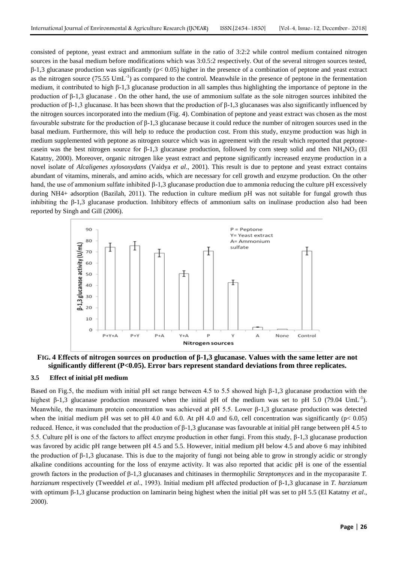consisted of peptone, yeast extract and ammonium sulfate in the ratio of 3:2:2 while control medium contained nitrogen sources in the basal medium before modifications which was 3:0.5:2 respectively. Out of the several nitrogen sources tested,  $β-1,3$  glucanase production was significantly ( $p<0.05$ ) higher in the presence of a combination of peptone and yeast extract as the nitrogen source ( $75.55$  UmL<sup>-1</sup>) as compared to the control. Meanwhile in the presence of peptone in the fermentation medium, it contributed to high β-1,3 glucanase production in all samples thus highlighting the importance of peptone in the production of β-1,3 glucanase . On the other hand, the use of ammonium sulfate as the sole nitrogen sources inhibited the production of β-1,3 glucanase. It has been shown that the production of β-1,3 glucanases was also significantly influenced by the nitrogen sources incorporated into the medium (Fig. 4). Combination of peptone and yeast extract was chosen as the most favourable substrate for the production of β-1,3 glucanase because it could reduce the number of nitrogen sources used in the basal medium. Furthermore, this will help to reduce the production cost. From this study, enzyme production was high in medium supplemented with peptone as nitrogen source which was in agreement with the result which reported that peptonecasein was the best nitrogen source for  $\beta$ -1,3 glucanase production, followed by corn steep solid and then NH<sub>4</sub>NO<sub>3</sub> (El Katatny, 2000). Moreover, organic nitrogen like yeast extract and peptone significantly increased enzyme production in a novel isolate of *Alcaligenes xylosoxydans* (Vaidya *et al*., 2001). This result is due to peptone and yeast extract contains abundant of vitamins, minerals, and amino acids, which are necessary for cell growth and enzyme production. On the other hand, the use of ammonium sulfate inhibited β-1,3 glucanase production due to ammonia reducing the culture pH excessively during NH4+ adsorption (Bazilah, 2011). The reduction in culture medium pH was not suitable for fungal growth thus inhibiting the β-1,3 glucanase production. Inhibitory effects of ammonium salts on inulinase production also had been reported by Singh and Gill (2006).



## **FIG. 4 Effects of nitrogen sources on production of β-1,3 glucanase. Values with the same letter are not significantly different (P<0.05). Error bars represent standard deviations from three replicates.**

## **3.5 Effect of initial pH medium**

Based on Fig.5, the medium with initial pH set range between 4.5 to 5.5 showed high β-1,3 glucanase production with the highest  $\beta$ -1,3 glucanase production measured when the initial pH of the medium was set to pH 5.0 (79.04 UmL<sup>-1</sup>). Meanwhile, the maximum protein concentration was achieved at pH 5.5. Lower β-1,3 glucanase production was detected when the initial medium pH was set to pH 4.0 and 6.0. At pH 4.0 and 6.0, cell concentration was significantly ( $p < 0.05$ ) reduced. Hence, it was concluded that the production of β-1,3 glucanase was favourable at initial pH range between pH 4.5 to 5.5. Culture pH is one of the factors to affect enzyme production in other fungi. From this study, β-1,3 glucanase production was favored by acidic pH range between pH 4.5 and 5.5. However, initial medium pH below 4.5 and above 6 may inhibited the production of β-1,3 glucanase. This is due to the majority of fungi not being able to grow in strongly acidic or strongly alkaline conditions accounting for the loss of enzyme activity. It was also reported that acidic pH is one of the essential growth factors in the production of β-1,3 glucanases and chitinases in thermophilic *Streptomyces* and in the mycoparasite *T. harzianum* respectively (Tweeddel *et al*., 1993). Initial medium pH affected production of β-1,3 glucanase in *T. harzianum* with optimum β-1,3 glucanse production on laminarin being highest when the initial pH was set to pH 5.5 (El Katatny *et al*., 2000).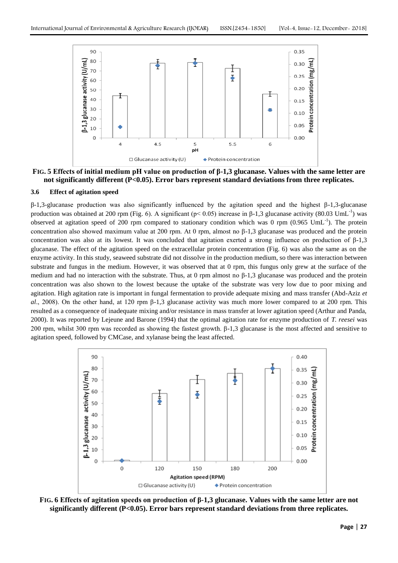

## **FIG. 5 Effects of initial medium pH value on production of β-1,3 glucanase. Values with the same letter are not significantly different (P<0.05). Error bars represent standard deviations from three replicates.**

#### **3.6 Effect of agitation speed**

β-1,3-glucanase production was also significantly influenced by the agitation speed and the highest β-1,3-glucanase production was obtained at 200 rpm (Fig. 6). A significant ( $p$ < 0.05) increase in β-1,3 glucanase activity (80.03 UmL<sup>-1</sup>) was observed at agitation speed of 200 rpm compared to stationary condition which was 0 rpm  $(0.965 \text{ UmL}^{-1})$ . The protein concentration also showed maximum value at 200 rpm. At 0 rpm, almost no β-1,3 glucanase was produced and the protein concentration was also at its lowest. It was concluded that agitation exerted a strong influence on production of β-1,3 glucanase. The effect of the agitation speed on the extracellular protein concentration (Fig. 6) was also the same as on the enzyme activity. In this study, seaweed substrate did not dissolve in the production medium, so there was interaction between substrate and fungus in the medium. However, it was observed that at 0 rpm, this fungus only grew at the surface of the medium and had no interaction with the substrate. Thus, at 0 rpm almost no  $\beta$ -1,3 glucanase was produced and the protein concentration was also shown to the lowest because the uptake of the substrate was very low due to poor mixing and agitation. High agitation rate is important in fungal fermentation to provide adequate mixing and mass transfer (Abd-Aziz *et al*., 2008). On the other hand, at 120 rpm β-1,3 glucanase activity was much more lower compared to at 200 rpm. This resulted as a consequence of inadequate mixing and/or resistance in mass transfer at lower agitation speed (Arthur and Panda, 2000). It was reported by Lejeune and Barone (1994) that the optimal agitation rate for enzyme production of *T. reesei* was 200 rpm, whilst 300 rpm was recorded as showing the fastest growth. β-1,3 glucanase is the most affected and sensitive to agitation speed, followed by CMCase, and xylanase being the least affected.



**FIG. 6 Effects of agitation speeds on production of β-1,3 glucanase. Values with the same letter are not significantly different (P<0.05). Error bars represent standard deviations from three replicates.**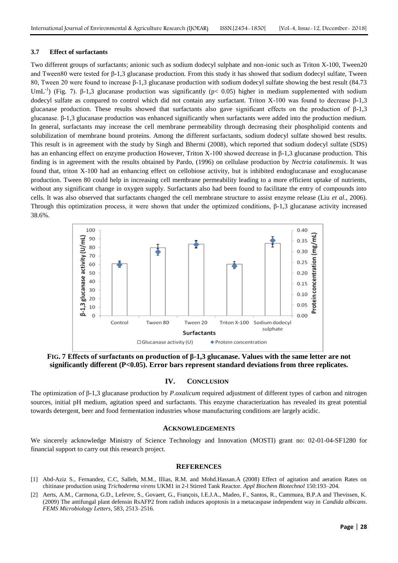## **3.7 Effect of surfactants**

Two different groups of surfactants; anionic such as sodium dodecyl sulphate and non-ionic such as Triton X-100, Tween20 and Tween80 were tested for β-1,3 glucanase production. From this study it has showed that sodium dodecyl sulfate, Tween 80, Tween 20 were found to increase β-1,3 glucanase production with sodium dodecyl sulfate showing the best result (84.73 UmL<sup>-1</sup>) (Fig. 7).  $\beta$ -1,3 glucanase production was significantly (p< 0.05) higher in medium supplemented with sodium dodecyl sulfate as compared to control which did not contain any surfactant. Triton X-100 was found to decrease β-1,3 glucanase production. These results showed that surfactants also gave significant effects on the production of β-1,3 glucanase. β-1,3 glucanase production was enhanced significantly when surfactants were added into the production medium. In general, surfactants may increase the cell membrane permeability through decreasing their phospholipid contents and solubilization of membrane bound proteins. Among the different surfactants, sodium dodecyl sulfate showed best results. This result is in agreement with the study by Singh and Bhermi (2008), which reported that sodium dodecyl sulfate (SDS) has an enhancing effect on enzyme production However, Triton X-100 showed decrease in β-1,3 glucanase production. This finding is in agreement with the results obtained by Pardo, (1996) on cellulase production by *Nectria catalinensis*. It was found that, triton X-100 had an enhancing effect on cellobiose activity, but is inhibited endoglucanase and exoglucanase production. Tween 80 could help in increasing cell membrane permeability leading to a more efficient uptake of nutrients, without any significant change in oxygen supply. Surfactants also had been found to facilitate the entry of compounds into cells. It was also observed that surfactants changed the cell membrane structure to assist enzyme release (Liu *et al*., 2006). Through this optimization process, it were shown that under the optimized conditions,  $β-1,3$  glucanase activity increased 38.6%.



**FIG. 7 Effects of surfactants on production of β-1,3 glucanase. Values with the same letter are not significantly different (P<0.05). Error bars represent standard deviations from three replicates.**

## **IV. CONCLUSION**

The optimization of β-1,3 glucanase production by *P.oxalicum* required adjustment of different types of carbon and nitrogen sources, initial pH medium, agitation speed and surfactants. This enzyme characterization has revealed its great potential towards detergent, beer and food fermentation industries whose manufacturing conditions are largely acidic.

#### **ACKNOWLEDGEMENTS**

We sincerely acknowledge Ministry of Science Technology and Innovation (MOSTI) grant no: 02-01-04-SF1280 for financial support to carry out this research project.

#### **REFERENCES**

- [1] Abd-Aziz S., Fernandez, C.C, Salleh, M.M., Illias, R.M. and Mohd.Hassan.A (2008) Effect of agitation and aeration Rates on chitinase production using *Trichoderma virens* UKM1 in 2-l Stirred Tank Reactor. *Appl Biochem Biotechnol* 150:193–204.
- [2] Aerts, A.M., Carmona, G.D., Lefevre, S., Govaert, G., François, I.E.J.A., Madeo, F., Santos, R., Cammuea, B.P.A and Thevissen, K. (2009) The antifungal plant defensin RsAFP2 from radish induces apoptosis in a metacaspase independent way in *Candida albicans*. *FEMS Microbiology Letters*, 583, 2513–2516.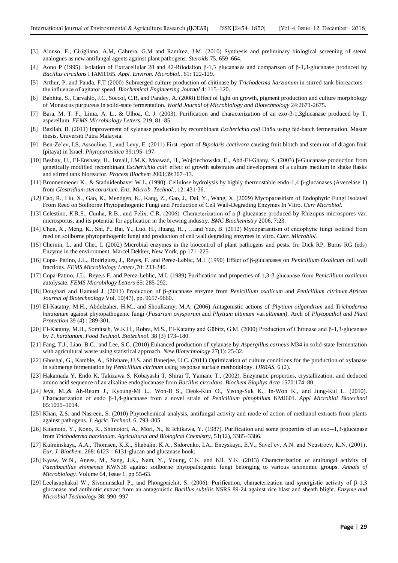- [3] Alonso, F., Cirigliano, A.M, Cabrera, G.M and Ramírez, J.M. (2010) Synthesis and preliminary biological screening of sterol analogues as new antifungal agents against plant pathogens. *Steroids* 75, 659–664.
- [4] Aono P (1995). Isolation of Extracellular 28 and 42-Rilodalton β-1,3 glucanases and comparison of β-1,3-glucanase produced by *Bacillus circulans* I IAM1165. *Appl. Environ. Microbiol.,* 61: 122-129.
- [5] Arthur, P. and Panda, F.T (2000) Submerged culture production of chitinase by *Trichoderma harzianum* in stirred tank bioreactors the influence of agitator speed. *Biochemical Engineering Journal* 4: 115–120.
- [6] Babhita, S., Carvahlo, J.C, Soccol, C.R, and Pandey, A. (2008) Effect of light on growth, pigment production and culture morphology of Monascus purpureus in solid-state fermentation. *World Journal of Microbiology and Biotechnology* 24:2671-2675.
- [7] Bara, M. T. F., Lima, A. L., & Ulhoa, C. J. (2003). Purification and characterization of an exo-β-1,3glucanase produced by T. asperellum. *FEMS Microbiology Letters*, 219, 81–85.
- [8] Bazilah, B. (2011) Improvement of xylanase production by recombinant *Escherichia coli* Dh5α using fed-batch fermentation. Master thesis, Universiti Putra Malaysia.
- [9] Ben-Ze'ev, I.S, Assouline, I., and Levy, E. (2011) First report of *Bipolaris cactivora* causing fruit blotch and stem rot of dragon fruit (pitaya) in Israel. *Phytoparasitica* 39:195–197.
- [10] Beshay, U., El-Enshasy, H., Ismail, I.M.K. Moawad, H., Wojciechowska, E., Abd-El-Ghany, S. (2003) β-Glucanase production from genetically modified recombinant *Escherichia coli*: effect of growth substrates and development of a culture medium in shake flasks and stirred tank bioreactor. *Process Biochem* 2003;39:307–13.
- [11] Bronnenmeoer K., & Staduidenbaver W.L. (1990). Cellulose hydrolysis by highly thermostable endo-1,4 β-glucanases (Avecelase 1) from *Clostridium stercorarium. Enz. Microb. Technol.,* 12: 431-36.
- *[12]* Cao, R., Liu, X., Gao, K., Mendgen, K., Kang, Z., Gao, J., Dai, Y., Wang, X. (2009) Mycoparasitism of Endophytic Fungi Isolated From Reed on Soilborne Phytopathogenic Fungi and Production of Cell Wall-Degrading Enzymes In Vitro. *Curr Microbiol.*
- [13] Celestino, *K*.R.S., Cunha, R.B., and Felix, C.R. (2006). Characterization of a β-glucanase produced by Rhizopus microspores var. microsporus, and its potential for application in the brewing industry. *BMC Biochemistry* 2006, 7:23.
- [14] Chen, X., Meng, K., Shi, P., Bai, Y., Luo, H., Huang, H.., …and Yao, B. (2012) Mycoparasitism of endophytic fungi isolated from reed on soilborne phytopathogenic fungi and production of cell wall degrading enzymes in vitro. *Curr. Microbiol.*
- [15] Chernin, L. and Chet, I. (2002) Microbial enzymes in the biocontrol of plant pathogens and pests. In: Dick RP, Burns RG (eds) Enzyme in the environment. Marcel Dekker, New York, pp 171–225
- [16] Copa- Patino, J.L., Rodriguez, J., Reyes, F. and Perez-Leblic, M.I. (1990) Effect of β-glucanases on *Penicillium Oxalicum* cell wall fractions. *FEMS Microbiology Letters*,70: 233-240.
- [17] Copa-Patino, J.L., Reye,s F. and Perez-Leblic, M.I. (1989) Purification and properties of 1,3-β glucanase from *Penicillium oxalicum*  autolysate. *FEMS Microbilogy Letters* 65: 285-292.
- [18] Doughari and Hamuel J. (2011) Production of β-glucanase enzyme from *Penicillium oxalicum* and *Penicillium citrinum.African Journal of Biotechnology* Vol. 10(47), pp. 9657-9660.
- [19] El-Katatny, M.H., Abdelzaher, H.M., and Shoulkamy, M.A. (2006) Antagonistic actions of *Phytium oilgandrum* and *Trichoderma harzianum* against phytopathogenic fungi (*Fusarium oxysporum* and *Phytium ultimum* var.*ultimum*). Arch of *Phytopathol and Plant Protection* 39 (4) : 289-301.
- [20] El-Katatny, M.H., Somitsch, W.K.H., Robra, M.S., El-Katatny and Gübitz, G.M. (2000) Production of Chitinase and β-1,3-glucanase by *T. harzianum, Food Technol. Biotechnol.* 38 (3) 173–180.
- [21] Fang, T.J., Liao, B.C., and Lee, S.C. (2010) Enhanced production of xylanase by *Aspergillus carneus* M34 in solid-state fermentation with agricultural waste using statistical approach. *New Biotechnology* 27(1): 25-32.
- [22] Ghoshal, G., Kamble, A., Shivhare, U.S. and Banerjee, U.C. (2011) Optimization of culture conditions for the production of xylanase in submerge fermentation by *Penicillium citrinum* using response surface methodology. *IJRRAS*, 6 (2).
- [23] Hakamada Y, Endo K, Takizawa S, Kobayashi T, Shirai T, Yamane T., (2002). Enzymatic properties, crystallization, and deduced amino acid sequence of an alkaline endoglucanase from *Bacillus circulans. Biochem Biophys Acta* 1570:174–80.
- [24] Jeya, M.,& Ah-Reum J., Kyoung-Mi L., Won-Il S., Deok-Kun O., Yeong-Suk K., In-Won K., and Jung-Kul L. (2010). Characterization of endo β-1,4-glucanase from a novel strain of *Penicillium pinophilum* KMJ601. *Appl Microbiol Biotechnol* 85:1005–1014.
- [25] Khan, Z.S. and Nasreen, S. (2010) Phytochemical analysis, antifungal activity and mode of action of methanol extracts from plants against pathogens*. J. Agric. Technol.* 6, 793–805.
- [26] Kitamoto, Y., Kono, R., Shimotori, A., Mori, N., & Ichikawa, Y. (1987). Purification and some properties of an exo--1,3-glucanase from *Trichoderma harzianum. Agricultural and Biological Chemistry*, 51(12), 3385–3386.
- [27] Kulminskaya, A.A., Thomsen, K.K., Shabalin, K.A., Sidorenko, I.A., Eneyskaya, E.V., Savel'ev, A.N. and Neustroev, K.N. (2001). *Eur. J. Biochem.* 268: 6123 – 6131-glucan and glucanase book.
- [28] Kyaw, W.N., Anees, M., Sang, J.K., Nam, Y., Young, C.K. and Kil, Y.K. (2013) Characterization of antifungal activity of *Paenibacillus ehimensis* KWN38 against soilborne phytopathogenic fungi belonging to various taxonomic groups. *Annals of Microbiology.* Volume 64, Issue 1, pp 55-63.
- [29] Leelasuphakul W., Sivanunsakul P., and Phongpaichit, S. (2006). Purification, characterization and synergistic activity of β-1,3 glucanase and antibiotic extract from an antagonistic *Bacillus subtilis* NSRS 89-24 against rice blast and sheath blight. *Enzyme and Microbial Technology* 38: 990–997.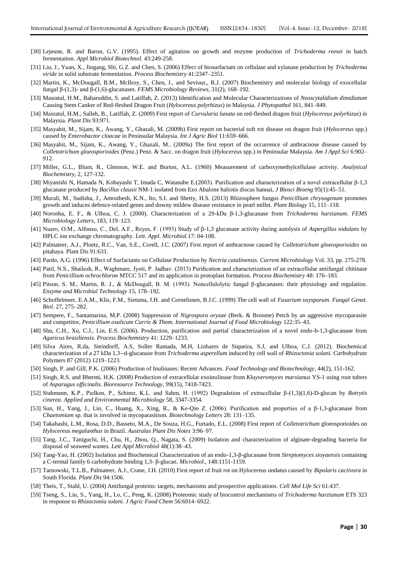- [30] Lejeune, R. and Baron, G.V. (1995). Effect of agitation on growth and enzyme production of *Trichoderma reesei* in batch fermentation. *Appl Microbiol Biotechnol.* 43:249-258.
- [31] Liu, J., Yuan, X., Jingang, Shi, G.Z. and Chen, S. (2006) Effect of biosurfactant on cellulase and xylanase production by *Trichoderma viride* in solid substrate fermentation. *Process Biochemistry* 41:2347–2351.
- [32] Martin, K., McDougall, B.M., McIlroy, S., Chen, J., and Seviour,, R.J. (2007) Biochemistry and molecular biology of exocellular fungal β-(1,3)- and β-(1,6)-glucanases. *FEMS Microbiology Reviews*, 31(2), 168–192.
- [33] Masratul, H.M., Baharuddin, S. and Latiffah, Z. (2013) Identification and Molecular Characterizations of *Neoscytalidium dimidiatum*  Causing Stem Canker of Red-fleshed Dragon Fruit (*Hylocereus polyrhizus*) in Malaysia. *J Phytopathol* 161, 841–849.
- [34] Masratul, H.M., Salleh, B., Latiffah, Z. (2009) First report of *Curvularia lunata* on red-fleshed dragon fruit (*Hylocereus polyrhizus*) in Malaysia. *Plant Dis* 93:971.
- [35] Masyahit, M., Sijam, K., Awang, Y., Ghazali, M. (2009b) First report on bacterial soft rot disease on dragon fruit (*Hylocereus* spp.) caused by *Enterobactor cloacae* in Peninsular Malaysia. *Int J Agric Biol* 11:659–666.
- [36] Masyahit, M., Sijam, K., Awang, Y., Ghazali, M.. (2009a) The first report of the occurrence of anthracnose disease caused by *Colletotrichum gloeosporioides* (Penz.) Penz. & Sacc. on dragon fruit (*Hylocereus* spp.) in Peninsular Malaysia. *Am J Appl Sci* 6:902– 912.
- [37] Miller, G.L., Blum, R., Glennon, W.E. and Burton, A.L. (1960) Measurement of carboxymethylcellulase activity. *Analytical Biochemistry*, 2, 127-132.
- [38] Miyanishi N, Hamada N, Kobayashi T, Imada C, Watanabe E.(2003). Purification and characterization of a novel extracellular β-1,3 glucanase produced by *Bacillus clausii* NM-1 isolated from Ezo Abalone haliotis discus hannai, *J Biosci Bioeng* 95(1):45–51.
- [39] Murali, M., Sudisha, J., Amruthesh, K.N., Ito, S.I. and Shetty, H.S. (2013) Rhizosphere fungus *Penicillium chrysogenum* promotes growth and induces defence-related genes and downy mildew disease resistance in pearl millet. *Plant Biology* 15, 111–118.
- [40] Noronha, E. F., & Ulhoa, C. J. (2000). Characterization of a 29-kDa β-1,3-glucanase from *Trichoderma harzianum. FEMS Microbiology Letters,* 183, 119–123.
- [41] Nuero, O.M., Alfonso, C., Del, A.F., Reyes, F. (1993) Study of β-1,3 glucanase activity during autolysis of *Aspergillus nidulans* by HPLC ion exchange chromatography. *Lett. Appl. Microbiol*.17: 04-108.
- [42] Palmateer, A.J., Ploetz, R.C., Van, S.E., Corell, J.C. (2007) First report of anthracnose caused by *Colletotrichum gloeosporioides* on pitahaya. Plant Dis 91:631.
- [43] Pardo, A.G. (1996) Effect of Surfactants on Cellulase Production by *Nectria catalinensis. Current Microbiology* Vol. 33, pp. 275-278.
- [44] Patil, N.S., Shailesh, R., Waghmare, Jyoti, P. Jadhav. (2013) Purification and characterization of an extracellular antifungal chitinase from *Penicillium ochrochloron* MTCC 517 and its application in protoplast formation. *Process Biochemistry* 48: 176–183.
- [45] Pitson, S. M., Martin, R. J., & McDougall, B. M. (1993). Noncellulolytic fungal β-glucanases: their physiology and regulation. *Enzyme and Microbial Technology* 15, 178–192.
- [46] Schoffelmeer, E.A.M., Klis, F.M., Sietsma, J.H. and Cornelissen, B.J.C. (1999) The cell wall of *Fusarium oxysporum. Fungal Genet. Biol*. 27, 275–282.
- [47] Sempere, F., Santamarina, M.P. (2008) Suppression of *Nigrospora oryzae* (Berk. & Broome) Petch by an aggressive mycoparasite and competitor, *Penicillium oxalicum Currie & Thom*. *International Journal of Food Microbiology* 122:35–43.
- [48] Shu, C.H., Xu, C.J., Lin, E.S. (2006). Production, purification and partial characterization of a novel endo-b-1,3-glucanase from *Agaricus brasiliensis. Process Biochemistry* 41: 1229–1233.
- [49] Silva Aires, R.da, Steindorff, A.S, Soller Ramada, M.H, Linhares de Siqueira, S.J, and Ulhoa, C.J. (2012). Biochemical characterization of a 27 kDa 1,3--d-glucanase from *Trichoderma asperellum* induced by cell wall of *Rhizoctonia solani. Carbohydrate* Polymers 87 (2012) 1219–1223.
- [50] Singh, P. and Gill, P.K. (2006) Production of Inulinases: Recent Advances. *Food Technology and Biotechnology,* 44(2), 151-162.
- [51] Singh, R.S. and Bhermi, H.K. (2008) Production of extracellular exoinulinase from *Kluyveromyces marxianus* YS-1 using root tubers of *Asparagus officinalis. Bioresource Technology,* 99(15), 7418-7423.
- [52] Stahmann, K.P., Pielken, P., Schimz, K.L. and Sahm, H. (1992) Degradation of extracellular β-(1,3)(1,6)-D-glucan by *Botrytis cinerea. Applied and Environmental Microbiology* 58, 3347-3354.
- [53] Sun, H., Yang, J., Lin, C., Huang, X., Xing, R., & Ke-Qin Z. (2006). Purification and properties of a β-1,3-glucanase from *Chaetomium* sp. that is involved in mycoparasitism. *Biotechnology Letters* 28: 131–135.
- [54] Takahashi, L.M., Rosa, D.D., Basseto, M.A., De Souza, H.G., Furtado, E.L. (2008) First report of *Colletotrichum* gloeosporioides on *Hylocereus megalanthus* in Brazil. *Australas Plant Dis Notes* 3:96–97.
- [55] Tang, J.C., Taniguchi, H., Chu, H., Zhou, Q., Nagata, S. (2009) Isolation and characterization of alginate-degrading bacteria for disposal of seaweed wastes. *Lett Appl Microbiol* 48(1):38–43.
- [56] Tang-Yao, H. (2002) Isolation and Biochemical Characterization of an endo-1,3-β-glucanase from *Streptomyces sioyaensis* containing a C-termal family 6 carbohydrate binding 1,3- β-glucan. *Microbiol*., 148:1151-1159.
- [57] Tarnowski, T.L.B., Palmateer, A.J., Crane, J.H. (2010) First report of fruit rot on Hylocereus undatus caused by *Bipolaris cactivora* in South Florida. *Plant Dis* 94:1506.
- [58] Theis, T., Stahl, U. (2004) Antifungal proteins: targets, mechanisms and prospective applications. *Cell Mol Life Sci* 61:437.
- [59] Tseng, S., Liu, S., Yang, H., Lo, C., Peng, K. (2008) Proteomic study of biocontrol mechanisms of *Trichoderma harzianum* ETS 323 in response to *Rhizoctonia solani. J Agric Food Chem* 56:6914–6922.